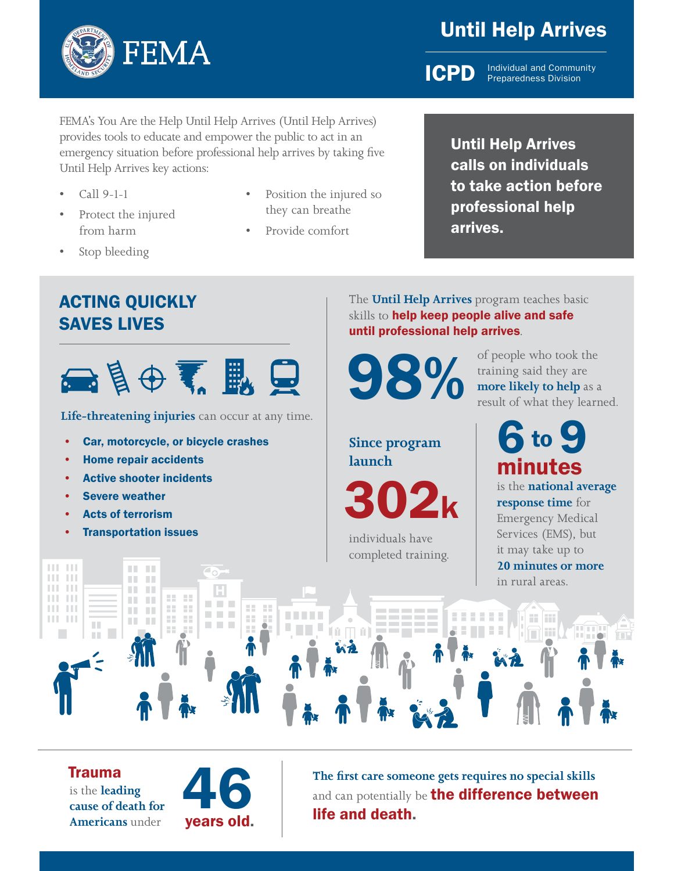

# Until Help Arrives

**ICPD** Individual and Community Preparedness Division

FEMA's You Are the Help Until Help Arrives (Until Help Arrives) provides tools to educate and empower the public to act in an emergency situation before professional help arrives by taking five Until Help Arrives key actions:

- Call 9-1-1
- Protect the injured from harm

ACTING QUICKLY

• Home repair accidents

• Severe weather **Acts of terrorism** • Transportation issues

**Active shooter incidents** 

**Life-threatening injuries** can occur at any time.

■ 良中素 歐 夏

Car, motorcycle, or bicycle crashes

SAVES LIVES

Stop bleeding

- Position the injured so they can breathe
- Provide comfort

# Until Help Arrives calls on individuals to take action before professional help arrives.

The **Until Help Arrives** program teaches basic skills to help keep people alive and safe until professional help arrives.



**98% of people who took the training said they are more likely to help** as a result of what they learn training said they are **more likely to help** as a result of what they learned.

**Since program launch**

02k

individuals have completed training. **6** to 9 minutes

is the **national average response time** for Emergency Medical Services (EMS), but it may take up to **20 minutes or more** in rural areas.

#### $\mathbf{H}$  .  $\mathbf{H}$ H. m. **TIL** an an  $\mathbf{H}$  . The an an **ALC UNIT** 22, 22, **THE THE** DТ. **THE** 88 a. **The College Property TELES** 22 10 H. H. **TIL** H. **CONTRACTOR** 25 ĭй.  $\Box$   $\cap$   $\Box$  $\mathbb{R}^n$

Trauma is the **leading cause of death for Americans** under



**The first care someone gets requires no special skills** and can potentially be the difference between life and death.